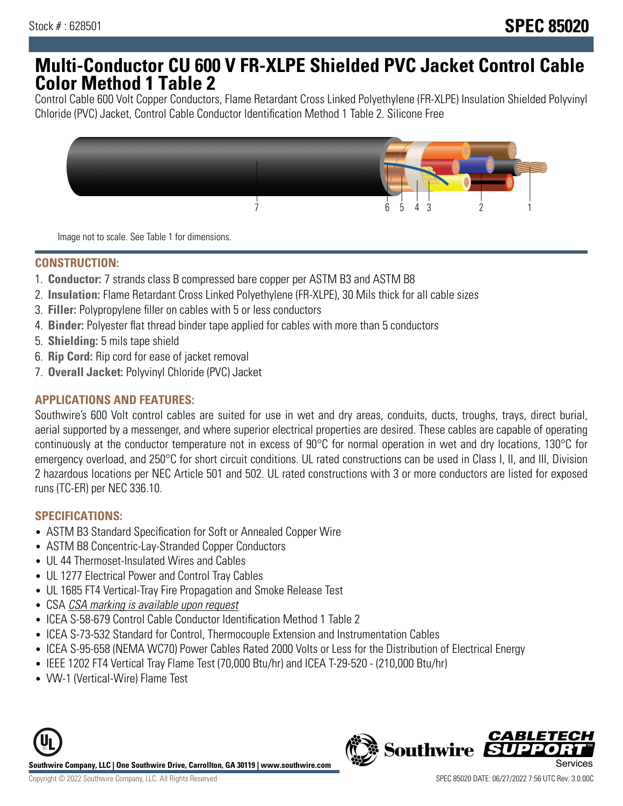# **Multi-Conductor CU 600 V FR-XLPE Shielded PVC Jacket Control Cable Color Method 1 Table 2**

Control Cable 600 Volt Copper Conductors, Flame Retardant Cross Linked Polyethylene (FR-XLPE) Insulation Shielded Polyvinyl Chloride (PVC) Jacket, Control Cable Conductor Identification Method 1 Table 2. Silicone Free



Image not to scale. See Table 1 for dimensions.

### **CONSTRUCTION:**

- 1. **Conductor:** 7 strands class B compressed bare copper per ASTM B3 and ASTM B8
- 2. **Insulation:** Flame Retardant Cross Linked Polyethylene (FR-XLPE), 30 Mils thick for all cable sizes
- 3. **Filler:** Polypropylene filler on cables with 5 or less conductors
- 4. **Binder:** Polyester flat thread binder tape applied for cables with more than 5 conductors
- 5. **Shielding:** 5 mils tape shield
- 6. **Rip Cord:** Rip cord for ease of jacket removal
- 7. **Overall Jacket:** Polyvinyl Chloride (PVC) Jacket

#### **APPLICATIONS AND FEATURES:**

Southwire's 600 Volt control cables are suited for use in wet and dry areas, conduits, ducts, troughs, trays, direct burial, aerial supported by a messenger, and where superior electrical properties are desired. These cables are capable of operating continuously at the conductor temperature not in excess of 90°C for normal operation in wet and dry locations, 130°C for emergency overload, and 250°C for short circuit conditions. UL rated constructions can be used in Class I, II, and III, Division 2 hazardous locations per NEC Article 501 and 502. UL rated constructions with 3 or more conductors are listed for exposed runs (TC-ER) per NEC 336.10.

### **SPECIFICATIONS:**

- ASTM B3 Standard Specification for Soft or Annealed Copper Wire
- ASTM B8 Concentric-Lay-Stranded Copper Conductors
- UL 44 Thermoset-Insulated Wires and Cables
- UL 1277 Electrical Power and Control Tray Cables
- UL 1685 FT4 Vertical-Tray Fire Propagation and Smoke Release Test
- CSA CSA marking is available upon request
- ICEA S-58-679 Control Cable Conductor Identification Method 1 Table 2
- ICEA S-73-532 Standard for Control, Thermocouple Extension and Instrumentation Cables
- ICEA S-95-658 (NEMA WC70) Power Cables Rated 2000 Volts or Less for the Distribution of Electrical Energy
- IEEE 1202 FT4 Vertical Tray Flame Test (70,000 Btu/hr) and ICEA T-29-520 (210,000 Btu/hr)
- VW-1 (Vertical-Wire) Flame Test



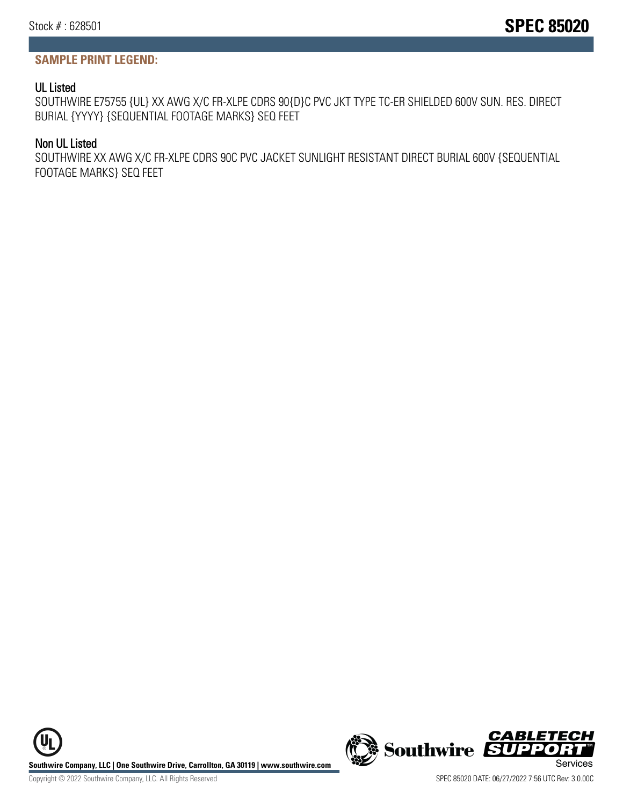## **SAMPLE PRINT LEGEND:**

## UL Listed

SOUTHWIRE E75755 {UL} XX AWG X/C FR-XLPE CDRS 90{D}C PVC JKT TYPE TC-ER SHIELDED 600V SUN. RES. DIRECT BURIAL {YYYY} {SEQUENTIAL FOOTAGE MARKS} SEQ FEET

## Non UL Listed

SOUTHWIRE XX AWG X/C FR-XLPE CDRS 90C PVC JACKET SUNLIGHT RESISTANT DIRECT BURIAL 600V {SEQUENTIAL FOOTAGE MARKS} SEQ FEET